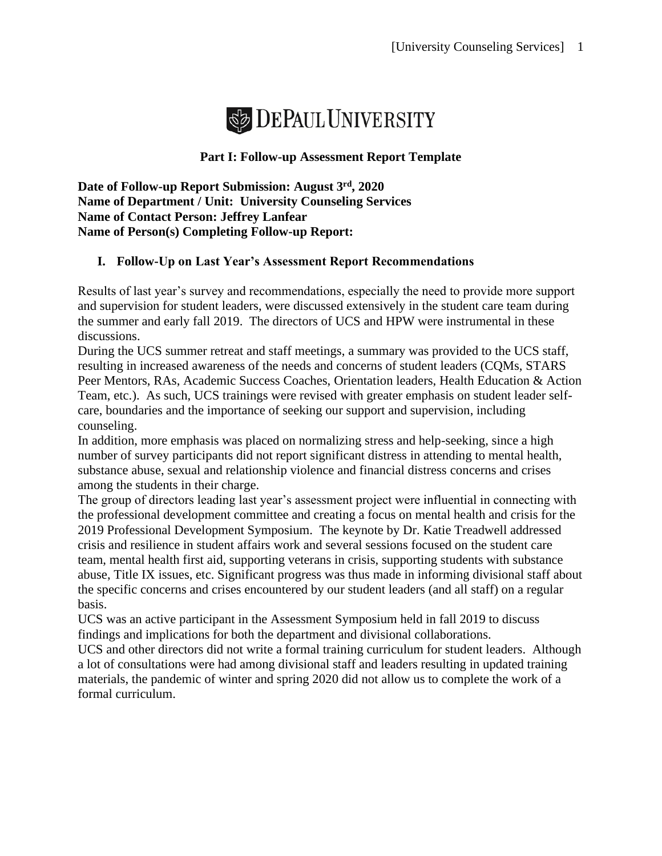

#### **Part I: Follow-up Assessment Report Template**

**Date of Follow-up Report Submission: August 3rd, 2020 Name of Department / Unit: University Counseling Services Name of Contact Person: Jeffrey Lanfear Name of Person(s) Completing Follow-up Report:** 

#### **I. Follow-Up on Last Year's Assessment Report Recommendations**

Results of last year's survey and recommendations, especially the need to provide more support and supervision for student leaders, were discussed extensively in the student care team during the summer and early fall 2019. The directors of UCS and HPW were instrumental in these discussions.

During the UCS summer retreat and staff meetings, a summary was provided to the UCS staff, resulting in increased awareness of the needs and concerns of student leaders (CQMs, STARS Peer Mentors, RAs, Academic Success Coaches, Orientation leaders, Health Education & Action Team, etc.). As such, UCS trainings were revised with greater emphasis on student leader selfcare, boundaries and the importance of seeking our support and supervision, including counseling.

In addition, more emphasis was placed on normalizing stress and help-seeking, since a high number of survey participants did not report significant distress in attending to mental health, substance abuse, sexual and relationship violence and financial distress concerns and crises among the students in their charge.

The group of directors leading last year's assessment project were influential in connecting with the professional development committee and creating a focus on mental health and crisis for the 2019 Professional Development Symposium. The keynote by Dr. Katie Treadwell addressed crisis and resilience in student affairs work and several sessions focused on the student care team, mental health first aid, supporting veterans in crisis, supporting students with substance abuse, Title IX issues, etc. Significant progress was thus made in informing divisional staff about the specific concerns and crises encountered by our student leaders (and all staff) on a regular basis.

UCS was an active participant in the Assessment Symposium held in fall 2019 to discuss findings and implications for both the department and divisional collaborations.

UCS and other directors did not write a formal training curriculum for student leaders. Although a lot of consultations were had among divisional staff and leaders resulting in updated training materials, the pandemic of winter and spring 2020 did not allow us to complete the work of a formal curriculum.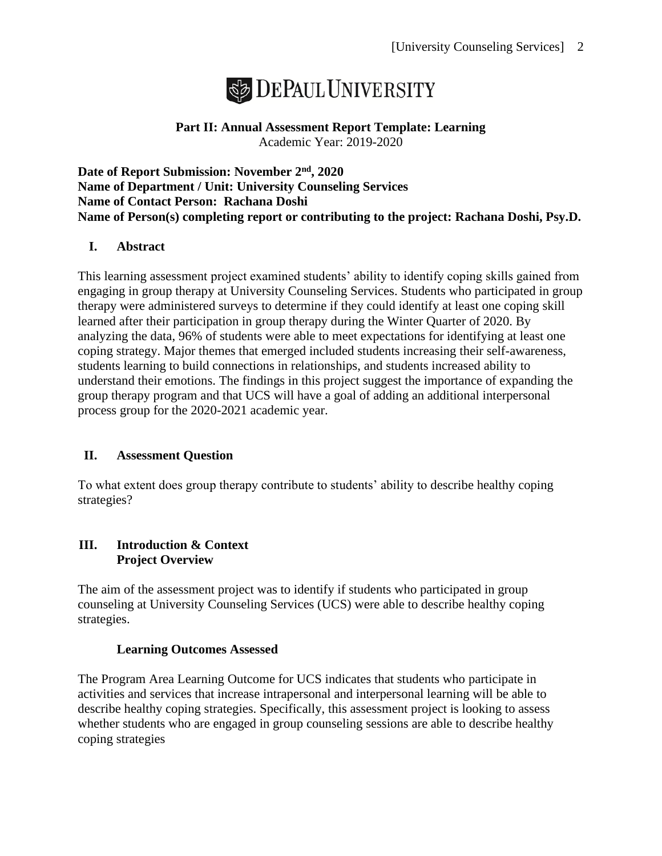

## **Part II: Annual Assessment Report Template: Learning** Academic Year: 2019-2020

**Date of Report Submission: November 2nd, 2020 Name of Department / Unit: University Counseling Services Name of Contact Person: Rachana Doshi Name of Person(s) completing report or contributing to the project: Rachana Doshi, Psy.D.**

## **I. Abstract**

This learning assessment project examined students' ability to identify coping skills gained from engaging in group therapy at University Counseling Services. Students who participated in group therapy were administered surveys to determine if they could identify at least one coping skill learned after their participation in group therapy during the Winter Quarter of 2020. By analyzing the data, 96% of students were able to meet expectations for identifying at least one coping strategy. Major themes that emerged included students increasing their self-awareness, students learning to build connections in relationships, and students increased ability to understand their emotions. The findings in this project suggest the importance of expanding the group therapy program and that UCS will have a goal of adding an additional interpersonal process group for the 2020-2021 academic year.

## **II. Assessment Question**

To what extent does group therapy contribute to students' ability to describe healthy coping strategies?

## **III. Introduction & Context Project Overview**

The aim of the assessment project was to identify if students who participated in group counseling at University Counseling Services (UCS) were able to describe healthy coping strategies.

#### **Learning Outcomes Assessed**

The Program Area Learning Outcome for UCS indicates that students who participate in activities and services that increase intrapersonal and interpersonal learning will be able to describe healthy coping strategies. Specifically, this assessment project is looking to assess whether students who are engaged in group counseling sessions are able to describe healthy coping strategies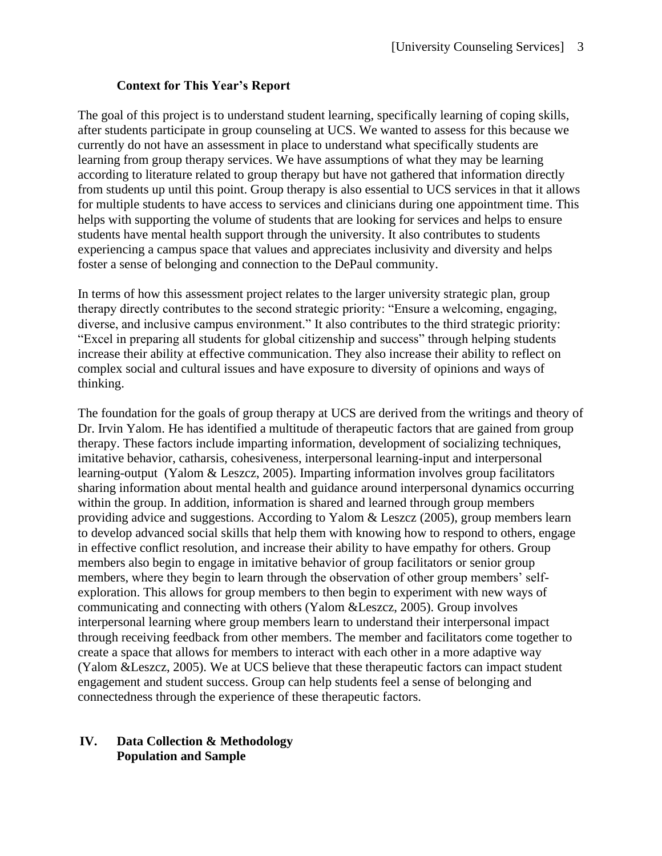#### **Context for This Year's Report**

The goal of this project is to understand student learning, specifically learning of coping skills, after students participate in group counseling at UCS. We wanted to assess for this because we currently do not have an assessment in place to understand what specifically students are learning from group therapy services. We have assumptions of what they may be learning according to literature related to group therapy but have not gathered that information directly from students up until this point. Group therapy is also essential to UCS services in that it allows for multiple students to have access to services and clinicians during one appointment time. This helps with supporting the volume of students that are looking for services and helps to ensure students have mental health support through the university. It also contributes to students experiencing a campus space that values and appreciates inclusivity and diversity and helps foster a sense of belonging and connection to the DePaul community.

In terms of how this assessment project relates to the larger university strategic plan, group therapy directly contributes to the second strategic priority: "Ensure a welcoming, engaging, diverse, and inclusive campus environment." It also contributes to the third strategic priority: "Excel in preparing all students for global citizenship and success" through helping students increase their ability at effective communication. They also increase their ability to reflect on complex social and cultural issues and have exposure to diversity of opinions and ways of thinking.

The foundation for the goals of group therapy at UCS are derived from the writings and theory of Dr. Irvin Yalom. He has identified a multitude of therapeutic factors that are gained from group therapy. These factors include imparting information, development of socializing techniques, imitative behavior, catharsis, cohesiveness, interpersonal learning-input and interpersonal learning-output (Yalom & Leszcz, 2005). Imparting information involves group facilitators sharing information about mental health and guidance around interpersonal dynamics occurring within the group. In addition, information is shared and learned through group members providing advice and suggestions. According to Yalom & Leszcz (2005), group members learn to develop advanced social skills that help them with knowing how to respond to others, engage in effective conflict resolution, and increase their ability to have empathy for others. Group members also begin to engage in imitative behavior of group facilitators or senior group members, where they begin to learn through the observation of other group members' selfexploration. This allows for group members to then begin to experiment with new ways of communicating and connecting with others (Yalom &Leszcz, 2005). Group involves interpersonal learning where group members learn to understand their interpersonal impact through receiving feedback from other members. The member and facilitators come together to create a space that allows for members to interact with each other in a more adaptive way (Yalom &Leszcz, 2005). We at UCS believe that these therapeutic factors can impact student engagement and student success. Group can help students feel a sense of belonging and connectedness through the experience of these therapeutic factors.

#### **IV. Data Collection & Methodology Population and Sample**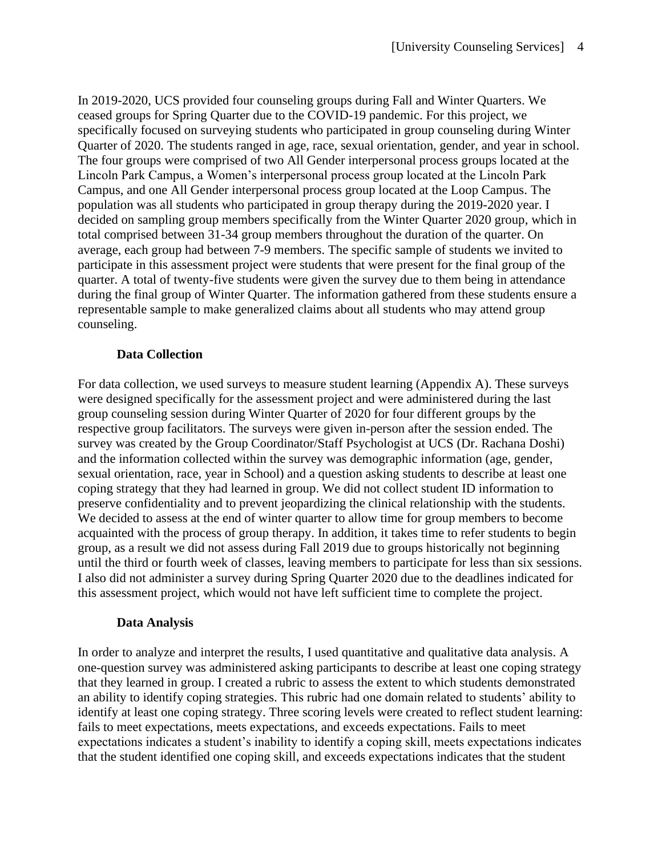In 2019-2020, UCS provided four counseling groups during Fall and Winter Quarters. We ceased groups for Spring Quarter due to the COVID-19 pandemic. For this project, we specifically focused on surveying students who participated in group counseling during Winter Quarter of 2020. The students ranged in age, race, sexual orientation, gender, and year in school. The four groups were comprised of two All Gender interpersonal process groups located at the Lincoln Park Campus, a Women's interpersonal process group located at the Lincoln Park Campus, and one All Gender interpersonal process group located at the Loop Campus. The population was all students who participated in group therapy during the 2019-2020 year. I decided on sampling group members specifically from the Winter Quarter 2020 group, which in total comprised between 31-34 group members throughout the duration of the quarter. On average, each group had between 7-9 members. The specific sample of students we invited to participate in this assessment project were students that were present for the final group of the quarter. A total of twenty-five students were given the survey due to them being in attendance during the final group of Winter Quarter. The information gathered from these students ensure a representable sample to make generalized claims about all students who may attend group counseling.

#### **Data Collection**

For data collection, we used surveys to measure student learning (Appendix A). These surveys were designed specifically for the assessment project and were administered during the last group counseling session during Winter Quarter of 2020 for four different groups by the respective group facilitators. The surveys were given in-person after the session ended. The survey was created by the Group Coordinator/Staff Psychologist at UCS (Dr. Rachana Doshi) and the information collected within the survey was demographic information (age, gender, sexual orientation, race, year in School) and a question asking students to describe at least one coping strategy that they had learned in group. We did not collect student ID information to preserve confidentiality and to prevent jeopardizing the clinical relationship with the students. We decided to assess at the end of winter quarter to allow time for group members to become acquainted with the process of group therapy. In addition, it takes time to refer students to begin group, as a result we did not assess during Fall 2019 due to groups historically not beginning until the third or fourth week of classes, leaving members to participate for less than six sessions. I also did not administer a survey during Spring Quarter 2020 due to the deadlines indicated for this assessment project, which would not have left sufficient time to complete the project.

#### **Data Analysis**

In order to analyze and interpret the results, I used quantitative and qualitative data analysis. A one-question survey was administered asking participants to describe at least one coping strategy that they learned in group. I created a rubric to assess the extent to which students demonstrated an ability to identify coping strategies. This rubric had one domain related to students' ability to identify at least one coping strategy. Three scoring levels were created to reflect student learning: fails to meet expectations, meets expectations, and exceeds expectations. Fails to meet expectations indicates a student's inability to identify a coping skill, meets expectations indicates that the student identified one coping skill, and exceeds expectations indicates that the student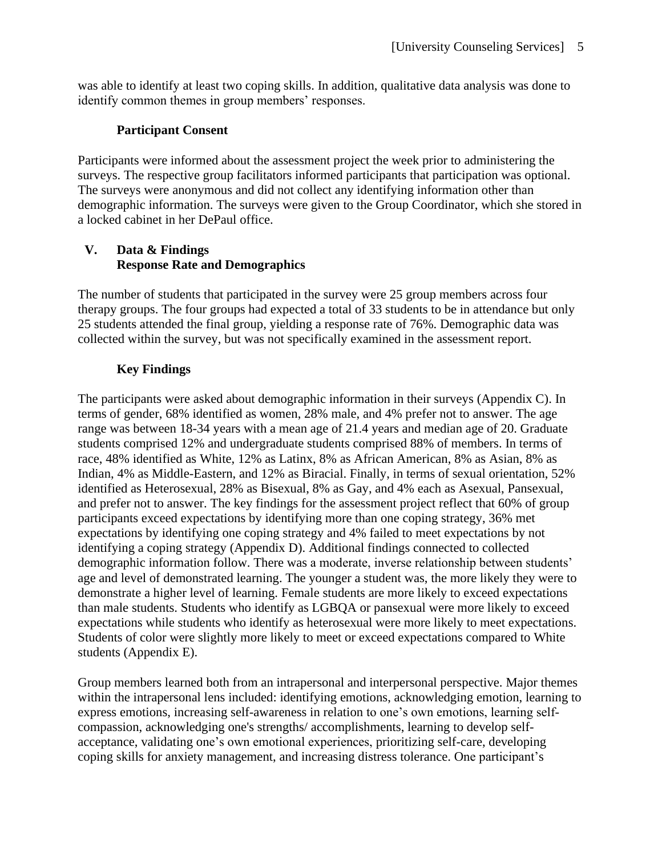was able to identify at least two coping skills. In addition, qualitative data analysis was done to identify common themes in group members' responses.

## **Participant Consent**

Participants were informed about the assessment project the week prior to administering the surveys. The respective group facilitators informed participants that participation was optional. The surveys were anonymous and did not collect any identifying information other than demographic information. The surveys were given to the Group Coordinator, which she stored in a locked cabinet in her DePaul office.

## **V. Data & Findings Response Rate and Demographics**

The number of students that participated in the survey were 25 group members across four therapy groups. The four groups had expected a total of 33 students to be in attendance but only 25 students attended the final group, yielding a response rate of 76%. Demographic data was collected within the survey, but was not specifically examined in the assessment report.

# **Key Findings**

The participants were asked about demographic information in their surveys (Appendix C). In terms of gender, 68% identified as women, 28% male, and 4% prefer not to answer. The age range was between 18-34 years with a mean age of 21.4 years and median age of 20. Graduate students comprised 12% and undergraduate students comprised 88% of members. In terms of race, 48% identified as White, 12% as Latinx, 8% as African American, 8% as Asian, 8% as Indian, 4% as Middle-Eastern, and 12% as Biracial. Finally, in terms of sexual orientation, 52% identified as Heterosexual, 28% as Bisexual, 8% as Gay, and 4% each as Asexual, Pansexual, and prefer not to answer. The key findings for the assessment project reflect that 60% of group participants exceed expectations by identifying more than one coping strategy, 36% met expectations by identifying one coping strategy and 4% failed to meet expectations by not identifying a coping strategy (Appendix D). Additional findings connected to collected demographic information follow. There was a moderate, inverse relationship between students' age and level of demonstrated learning. The younger a student was, the more likely they were to demonstrate a higher level of learning. Female students are more likely to exceed expectations than male students. Students who identify as LGBQA or pansexual were more likely to exceed expectations while students who identify as heterosexual were more likely to meet expectations. Students of color were slightly more likely to meet or exceed expectations compared to White students (Appendix E).

Group members learned both from an intrapersonal and interpersonal perspective. Major themes within the intrapersonal lens included: identifying emotions, acknowledging emotion, learning to express emotions, increasing self-awareness in relation to one's own emotions, learning selfcompassion, acknowledging one's strengths/ accomplishments, learning to develop selfacceptance, validating one's own emotional experiences, prioritizing self-care, developing coping skills for anxiety management, and increasing distress tolerance. One participant's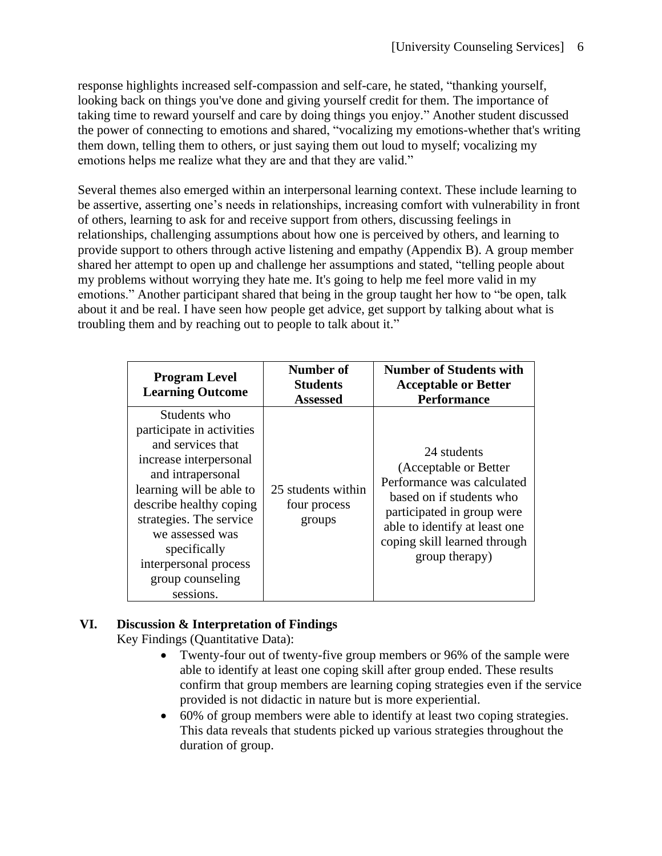response highlights increased self-compassion and self-care, he stated, "thanking yourself, looking back on things you've done and giving yourself credit for them. The importance of taking time to reward yourself and care by doing things you enjoy." Another student discussed the power of connecting to emotions and shared, "vocalizing my emotions-whether that's writing them down, telling them to others, or just saying them out loud to myself; vocalizing my emotions helps me realize what they are and that they are valid."

Several themes also emerged within an interpersonal learning context. These include learning to be assertive, asserting one's needs in relationships, increasing comfort with vulnerability in front of others, learning to ask for and receive support from others, discussing feelings in relationships, challenging assumptions about how one is perceived by others, and learning to provide support to others through active listening and empathy (Appendix B). A group member shared her attempt to open up and challenge her assumptions and stated, "telling people about my problems without worrying they hate me. It's going to help me feel more valid in my emotions." Another participant shared that being in the group taught her how to "be open, talk about it and be real. I have seen how people get advice, get support by talking about what is troubling them and by reaching out to people to talk about it."

| <b>Program Level</b><br><b>Learning Outcome</b>                                                                                                                                                                                                                                              | Number of<br><b>Students</b><br><b>Assessed</b> | <b>Number of Students with</b><br><b>Acceptable or Better</b><br><b>Performance</b>                                                                                                                              |
|----------------------------------------------------------------------------------------------------------------------------------------------------------------------------------------------------------------------------------------------------------------------------------------------|-------------------------------------------------|------------------------------------------------------------------------------------------------------------------------------------------------------------------------------------------------------------------|
| Students who<br>participate in activities<br>and services that<br>increase interpersonal<br>and intrapersonal<br>learning will be able to<br>describe healthy coping<br>strategies. The service<br>we assessed was<br>specifically<br>interpersonal process<br>group counseling<br>sessions. | 25 students within<br>four process<br>groups    | 24 students<br>(Acceptable or Better)<br>Performance was calculated<br>based on if students who<br>participated in group were<br>able to identify at least one<br>coping skill learned through<br>group therapy) |

## **VI. Discussion & Interpretation of Findings**

Key Findings (Quantitative Data):

- Twenty-four out of twenty-five group members or 96% of the sample were able to identify at least one coping skill after group ended. These results confirm that group members are learning coping strategies even if the service provided is not didactic in nature but is more experiential.
- 60% of group members were able to identify at least two coping strategies. This data reveals that students picked up various strategies throughout the duration of group.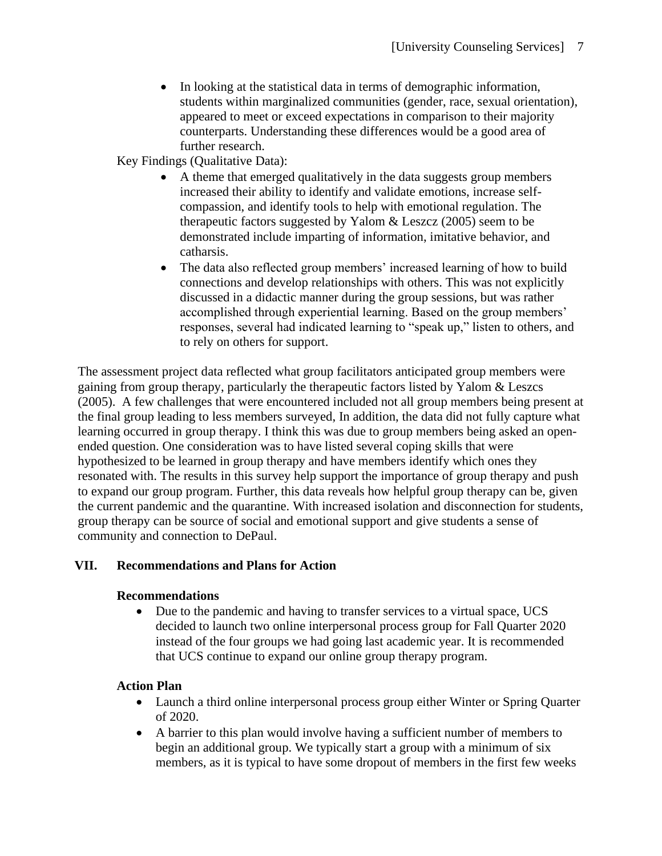• In looking at the statistical data in terms of demographic information, students within marginalized communities (gender, race, sexual orientation), appeared to meet or exceed expectations in comparison to their majority counterparts. Understanding these differences would be a good area of further research.

Key Findings (Qualitative Data):

- A theme that emerged qualitatively in the data suggests group members increased their ability to identify and validate emotions, increase selfcompassion, and identify tools to help with emotional regulation. The therapeutic factors suggested by Yalom & Leszcz (2005) seem to be demonstrated include imparting of information, imitative behavior, and catharsis.
- The data also reflected group members' increased learning of how to build connections and develop relationships with others. This was not explicitly discussed in a didactic manner during the group sessions, but was rather accomplished through experiential learning. Based on the group members' responses, several had indicated learning to "speak up," listen to others, and to rely on others for support.

The assessment project data reflected what group facilitators anticipated group members were gaining from group therapy, particularly the therapeutic factors listed by Yalom & Leszcs (2005). A few challenges that were encountered included not all group members being present at the final group leading to less members surveyed, In addition, the data did not fully capture what learning occurred in group therapy. I think this was due to group members being asked an openended question. One consideration was to have listed several coping skills that were hypothesized to be learned in group therapy and have members identify which ones they resonated with. The results in this survey help support the importance of group therapy and push to expand our group program. Further, this data reveals how helpful group therapy can be, given the current pandemic and the quarantine. With increased isolation and disconnection for students, group therapy can be source of social and emotional support and give students a sense of community and connection to DePaul.

## **VII. Recommendations and Plans for Action**

#### **Recommendations**

• Due to the pandemic and having to transfer services to a virtual space, UCS decided to launch two online interpersonal process group for Fall Quarter 2020 instead of the four groups we had going last academic year. It is recommended that UCS continue to expand our online group therapy program.

#### **Action Plan**

- Launch a third online interpersonal process group either Winter or Spring Quarter of 2020.
- A barrier to this plan would involve having a sufficient number of members to begin an additional group. We typically start a group with a minimum of six members, as it is typical to have some dropout of members in the first few weeks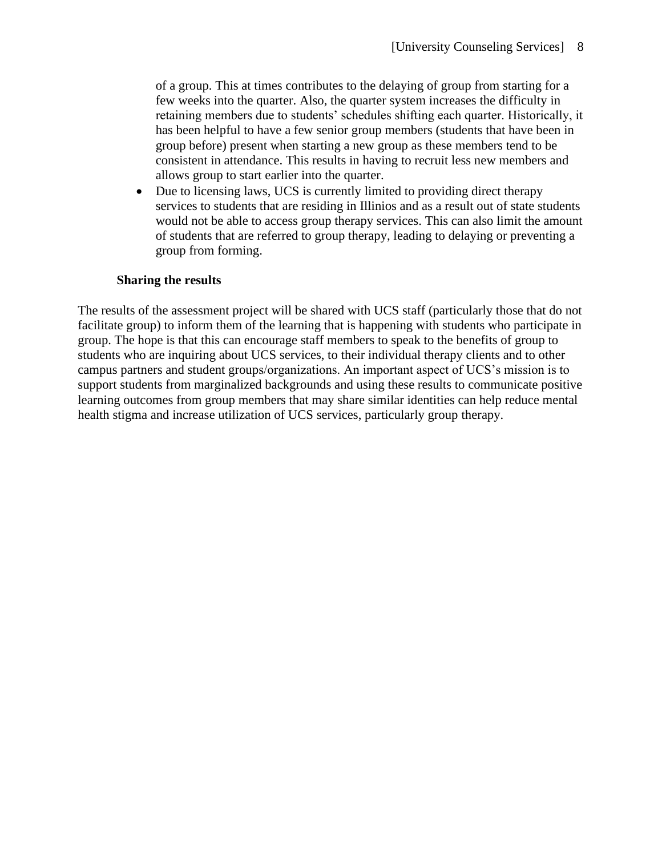of a group. This at times contributes to the delaying of group from starting for a few weeks into the quarter. Also, the quarter system increases the difficulty in retaining members due to students' schedules shifting each quarter. Historically, it has been helpful to have a few senior group members (students that have been in group before) present when starting a new group as these members tend to be consistent in attendance. This results in having to recruit less new members and allows group to start earlier into the quarter.

• Due to licensing laws, UCS is currently limited to providing direct therapy services to students that are residing in Illinios and as a result out of state students would not be able to access group therapy services. This can also limit the amount of students that are referred to group therapy, leading to delaying or preventing a group from forming.

## **Sharing the results**

The results of the assessment project will be shared with UCS staff (particularly those that do not facilitate group) to inform them of the learning that is happening with students who participate in group. The hope is that this can encourage staff members to speak to the benefits of group to students who are inquiring about UCS services, to their individual therapy clients and to other campus partners and student groups/organizations. An important aspect of UCS's mission is to support students from marginalized backgrounds and using these results to communicate positive learning outcomes from group members that may share similar identities can help reduce mental health stigma and increase utilization of UCS services, particularly group therapy.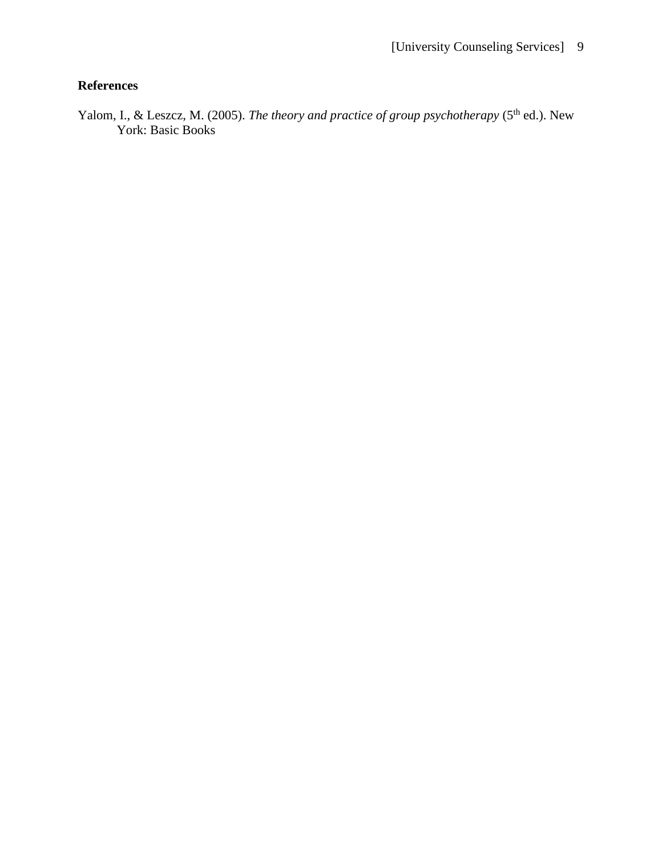# **References**

Yalom, I., & Leszcz, M. (2005). *The theory and practice of group psychotherapy* (5<sup>th</sup> ed.). New York: Basic Books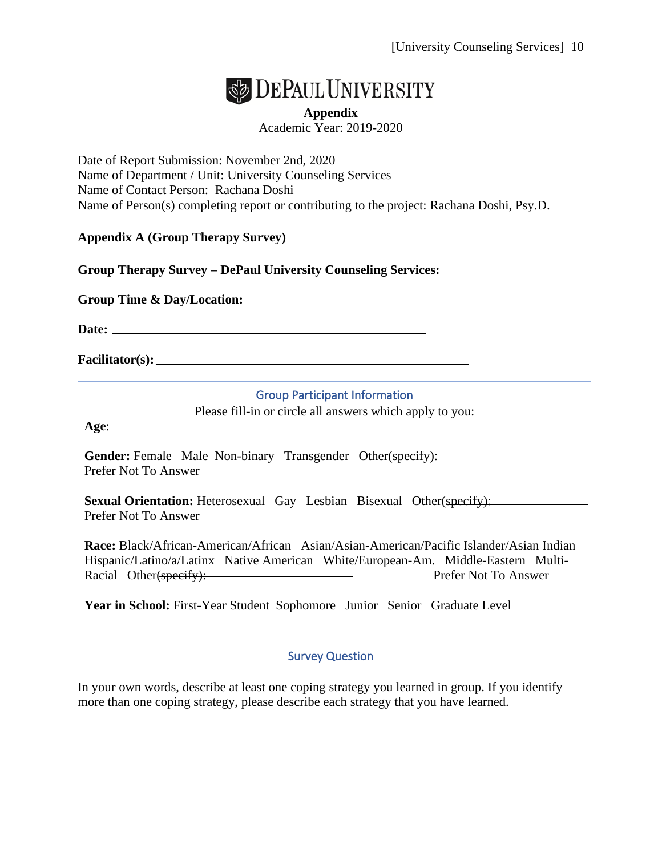

**Appendix** Academic Year: 2019-2020

Date of Report Submission: November 2nd, 2020 Name of Department / Unit: University Counseling Services Name of Contact Person: Rachana Doshi Name of Person(s) completing report or contributing to the project: Rachana Doshi, Psy.D.

## **Appendix A (Group Therapy Survey)**

**Group Therapy Survey – DePaul University Counseling Services:** 

**Group Time & Day/Location:** 

**Date:** 

**Facilitator(s):**

#### Group Participant Information

Please fill-in or circle all answers which apply to you:

**Age**:

**Gender:** Female Male Non-binary Transgender Other(specify): Prefer Not To Answer

**Sexual Orientation:** Heterosexual Gay Lesbian Bisexual Other(specify): Prefer Not To Answer

**Race:** Black/African-American/African Asian/Asian-American/Pacific Islander/Asian Indian Hispanic/Latino/a/Latinx Native American White/European-Am. Middle-Eastern Multi-Racial Other(specify): Prefer Not To Answer

**Year in School:** First-Year Student Sophomore Junior Senior Graduate Level

## Survey Question

In your own words, describe at least one coping strategy you learned in group. If you identify more than one coping strategy, please describe each strategy that you have learned.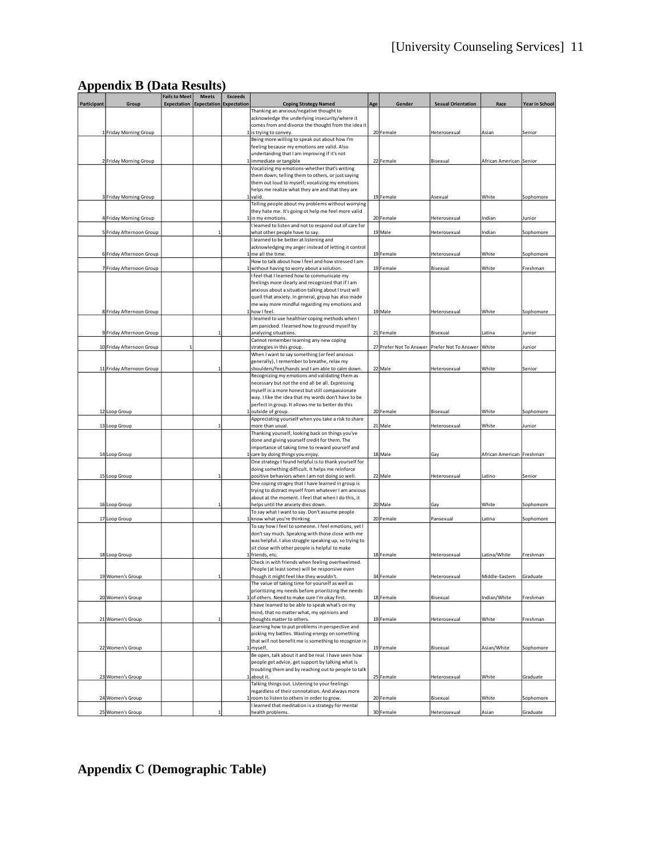|  | <b>Appendix B (Data Results)</b> |
|--|----------------------------------|
|--|----------------------------------|

|             |                           | <b>Fails to Meet</b>                    | <b>Meets</b> | <b>Exceeds</b> |                                                                                                             |     |                                                    |                           |                           |                       |
|-------------|---------------------------|-----------------------------------------|--------------|----------------|-------------------------------------------------------------------------------------------------------------|-----|----------------------------------------------------|---------------------------|---------------------------|-----------------------|
| Participant | Group                     | Expectation   Expectation   Expectation |              |                | <b>Coping Strategy Named</b>                                                                                | Age | Gender                                             | <b>Sexual Orientation</b> | Race                      | <b>Year in School</b> |
|             |                           |                                         |              |                | Thanking an anxious/negative thought to                                                                     |     |                                                    |                           |                           |                       |
|             |                           |                                         |              |                | acknowledge the underlying insecurity/where it                                                              |     |                                                    |                           |                           |                       |
|             |                           |                                         |              |                | comes from and divorce the thought from the idea it                                                         |     |                                                    |                           |                           |                       |
|             | 1 Friday Morning Group    |                                         |              |                | is trying to convey.                                                                                        |     | 20 Female                                          | Heterosexual              | Asian                     | Senior                |
|             |                           |                                         |              |                | Being more willing to speak out about how I'm                                                               |     |                                                    |                           |                           |                       |
|             |                           |                                         |              |                | feeling because my emotions are valid. Also                                                                 |     |                                                    |                           |                           |                       |
|             |                           |                                         |              |                | undertanding that I am improving if it's not                                                                |     |                                                    |                           |                           |                       |
|             | 2 Friday Morning Group    |                                         |              |                | 1 immediate or tangible<br>Vocalizing my emotions-whether that's writing                                    |     | 22 Female                                          | Bisexual                  | African American Senior   |                       |
|             |                           |                                         |              |                | them down, telling them to others, or just saying                                                           |     |                                                    |                           |                           |                       |
|             |                           |                                         |              |                | them out loud to myself; vocalizing my emotions                                                             |     |                                                    |                           |                           |                       |
|             |                           |                                         |              |                | helps me realize what they are and that they are                                                            |     |                                                    |                           |                           |                       |
|             | 3 Friday Morning Group    |                                         |              |                | 1 valid.                                                                                                    |     | 19 Female                                          | Asexual                   | White                     | Sophomore             |
|             |                           |                                         |              |                | Telling people about my problems without worrying                                                           |     |                                                    |                           |                           |                       |
|             |                           |                                         |              |                | they hate me. It's going ot help me feel more valid                                                         |     |                                                    |                           |                           |                       |
|             | 4 Friday Morning Group    |                                         |              |                | 1 in my emotions.                                                                                           |     | 20 Female                                          | Heterosexual              | Indian                    | lunior                |
|             |                           |                                         |              |                | learned to listen and not to respond out of care for                                                        |     |                                                    |                           |                           |                       |
|             | 5 Friday Afternoon Group  |                                         |              |                | what other people have to say.                                                                              |     | 19 Male                                            | Heterosexual              | Indian                    | Sophomore             |
|             |                           |                                         |              |                | learned to be better at listening and                                                                       |     |                                                    |                           |                           |                       |
|             |                           |                                         |              |                | acknowledging my anger instead of letting it control                                                        |     |                                                    |                           |                           |                       |
|             | 6 Friday Afternoon Group  |                                         |              |                | 1 me all the time.                                                                                          |     | 19 Female                                          | Heterosexual              | White                     | Sophomore             |
|             |                           |                                         |              |                | How to talk about how I feel and how stressed I am                                                          |     |                                                    |                           |                           |                       |
|             | 7 Friday Afternoon Group  |                                         |              |                | without having to worry about a solution.                                                                   |     | 19 Female                                          | Bisexual                  | White                     | Freshman              |
|             |                           |                                         |              |                | feel that I learned how to communicate my                                                                   |     |                                                    |                           |                           |                       |
|             |                           |                                         |              |                | feelings more clearly and recognized that if I am<br>anxious about a situation talking about I trust will   |     |                                                    |                           |                           |                       |
|             |                           |                                         |              |                | quell that anxiety. In general, group has also made                                                         |     |                                                    |                           |                           |                       |
|             |                           |                                         |              |                | me way more mindful regarding my emotions and                                                               |     |                                                    |                           |                           |                       |
|             | 8 Friday Afternoon Group  |                                         |              |                | 1 how I feel.                                                                                               |     | 19 Male                                            | Heterosexual              | White                     | Sophomore             |
|             |                           |                                         |              |                | I learned to use healthier coping methods when I                                                            |     |                                                    |                           |                           |                       |
|             |                           |                                         |              |                | am panicked. I learned how to ground myself by                                                              |     |                                                    |                           |                           |                       |
|             | 9 Friday Afternoon Group  |                                         |              |                | analyzing situations.                                                                                       |     | 21 Female                                          | Bisexual                  | Latina                    | Junior                |
|             |                           |                                         |              |                | Cannot remember learning any new coping                                                                     |     |                                                    |                           |                           |                       |
|             | 10 Friday Afternoon Group |                                         |              |                | strategies in this group.                                                                                   |     | 27 Prefer Not To Answer Prefer Not To Answer White |                           |                           | Junior                |
|             |                           |                                         |              |                | When I want to say something (or feel anxious                                                               |     |                                                    |                           |                           |                       |
|             |                           |                                         |              |                | generally), I remember to breathe, relax my                                                                 |     |                                                    |                           |                           |                       |
|             | 11 Friday Afternoon Group |                                         |              |                | shoulders/feet/hands and I am able to calm down.                                                            |     | 22 Male                                            | Heterosexual              | White                     | Senior                |
|             |                           |                                         |              |                | Recognizing my emotions and validating them as                                                              |     |                                                    |                           |                           |                       |
|             |                           |                                         |              |                | necessary but not the end all be all. Expressing                                                            |     |                                                    |                           |                           |                       |
|             |                           |                                         |              |                | myself in a more honest but still compassionate                                                             |     |                                                    |                           |                           |                       |
|             |                           |                                         |              |                | way. I like the idea that my words don't have to be                                                         |     |                                                    |                           |                           |                       |
|             |                           |                                         |              |                | perfect in group. It allows me to better do this                                                            |     |                                                    |                           |                           |                       |
|             | 12 Loop Group             |                                         |              |                | 1 outside of group.                                                                                         |     | 20 Female                                          | Bisexual                  | White                     | Sophomore             |
|             | 13 Loop Group             |                                         |              |                | Appreciating yourself when you take a risk to share<br>more than usual.                                     |     | 21 Male                                            | Heterosexual              | White                     | Junior                |
|             |                           |                                         |              |                | Thanking yourself, looking back on things you've                                                            |     |                                                    |                           |                           |                       |
|             |                           |                                         |              |                | done and giving yourself credit for them. The                                                               |     |                                                    |                           |                           |                       |
|             |                           |                                         |              |                | importance of taking time to reward yourself and                                                            |     |                                                    |                           |                           |                       |
|             | 14 Loop Group             |                                         |              |                | 1 care by doing things you enjoy.                                                                           |     | 18 Male                                            | Gay                       | African American Freshman |                       |
|             |                           |                                         |              |                | One strategy I found helpful is to thank yourself for                                                       |     |                                                    |                           |                           |                       |
|             |                           |                                         |              |                | doing something difficult. It helps me reinforce                                                            |     |                                                    |                           |                           |                       |
|             | 15 Loop Group             |                                         |              |                | positive behaviors when I am not doing so well.                                                             |     | 22 Male                                            | Heterosexual              | Latino                    | Senior                |
|             |                           |                                         |              |                | One coping stragey that I have learned in group is                                                          |     |                                                    |                           |                           |                       |
|             |                           |                                         |              |                | trying to distract myself from whatever I am anxious                                                        |     |                                                    |                           |                           |                       |
|             |                           |                                         |              |                | about at the moment. I feel that when I do this, it                                                         |     |                                                    |                           |                           |                       |
|             | 16 Loop Group             |                                         |              |                | helps until the anxiety dies down.                                                                          |     | 20 Male                                            | Gay                       | White                     | Sophomore             |
|             |                           |                                         |              |                | To say what I want to say. Don't assume people                                                              |     |                                                    |                           |                           |                       |
|             | 17 Loop Group             |                                         |              |                | 1 know what you're thinking.                                                                                |     | 20 Female                                          | Pansexual                 | Latina                    | Sophomore             |
|             |                           |                                         |              |                | To say how I feel to someone. I feel emotions, yet I                                                        |     |                                                    |                           |                           |                       |
|             |                           |                                         |              |                | don't say much. Speaking with those close with me<br>was helpful. I also struggle speaking up, so trying to |     |                                                    |                           |                           |                       |
|             |                           |                                         |              |                | sit close with other people is helpful to make                                                              |     |                                                    |                           |                           |                       |
|             | 18 Loop Group             |                                         |              |                | 1 friends, etc.                                                                                             |     | 18 Female                                          | Heterosexual              | Latina/White              | Freshman              |
|             |                           |                                         |              |                | Check in with friends when feeling overhwelmed.                                                             |     |                                                    |                           |                           |                       |
|             |                           |                                         |              |                | People (at least some) will be responsive even                                                              |     |                                                    |                           |                           |                       |
|             | women s Grou              |                                         |              |                | though it might feel like they wouldn't.                                                                    |     | 34 reman                                           | Heterose                  | ivilgale-Eastern          | Graduai               |
|             |                           |                                         |              |                | The value of taking time for yourself as well as                                                            |     |                                                    |                           |                           |                       |
|             |                           |                                         |              |                | prioritizing my needs before prioritizing the needs                                                         |     |                                                    |                           |                           |                       |
|             | 20 Women's Group          |                                         |              |                | 1 of others. Need to make sure I'm okay first.                                                              |     | 18 Female                                          | Bisexual                  | Indian/White              | Freshman              |
|             |                           |                                         |              |                | I have learned to be able to speak what's on my                                                             |     |                                                    |                           |                           |                       |
|             |                           |                                         |              |                | mind, that no matter what, my opinions and                                                                  |     |                                                    |                           |                           |                       |
|             | 21 Women's Group          |                                         |              |                | thoughts matter to others.                                                                                  |     | 19 Female                                          | Heterosexual              | White                     | Freshman              |
|             |                           |                                         |              |                | Learning how to put problems in perspective and                                                             |     |                                                    |                           |                           |                       |
|             |                           |                                         |              |                | picking my battles. Wasting energy on something                                                             |     |                                                    |                           |                           |                       |
|             |                           |                                         |              |                | that will not benefit me is something to recognize in                                                       |     |                                                    |                           |                           | Sophomore             |
|             | 22 Women's Group          |                                         |              |                | myself.<br>Be open, talk about it and be real. I have seen how                                              |     | 19 Female                                          | Bisexual                  | Asian/White               |                       |
|             |                           |                                         |              |                | people get advice, get support by talking what is                                                           |     |                                                    |                           |                           |                       |
|             |                           |                                         |              |                | troubling them and by reaching out to people to talk                                                        |     |                                                    |                           |                           |                       |
|             | 23 Women's Group          |                                         |              |                | 1 about it.                                                                                                 |     | 25 Female                                          | Heterosexual              | White                     | Graduate              |
|             |                           |                                         |              |                | Talking things out. Listening to your feelings                                                              |     |                                                    |                           |                           |                       |
|             |                           |                                         |              |                | regardless of their connotation. And always more                                                            |     |                                                    |                           |                           |                       |
|             | 24 Women's Group          |                                         |              |                | 1 room to listen to others in order to grow.                                                                |     | 20 Female                                          | Bisexual                  | White                     | Sophomore             |
|             |                           |                                         |              |                | I learned that meditation is a strategy for mental                                                          |     |                                                    |                           |                           |                       |
|             | 25 Women's Group          |                                         |              |                | health problems.                                                                                            |     | 30 Female                                          | Heterosexual              | Asian                     | Graduate              |

# **Appendix C (Demographic Table)**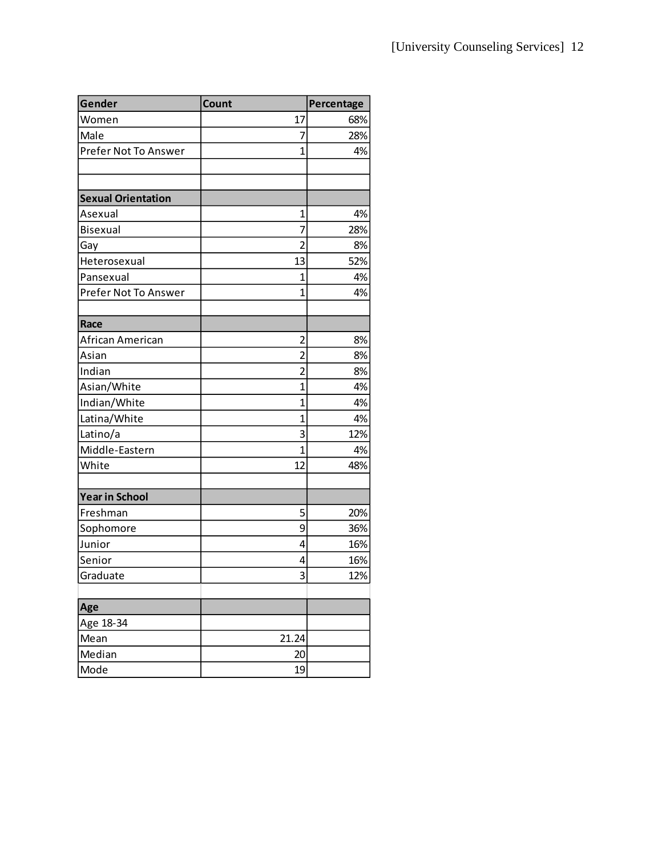| Gender                    | Count                   | Percentage |
|---------------------------|-------------------------|------------|
| Women                     | 17                      | 68%        |
| Male                      | 7                       | 28%        |
| Prefer Not To Answer      | $\mathbf{1}$            | 4%         |
|                           |                         |            |
|                           |                         |            |
| <b>Sexual Orientation</b> |                         |            |
| Asexual                   | 1                       | 4%         |
| Bisexual                  | 7                       | 28%        |
| Gay                       | $\overline{2}$          | 8%         |
| Heterosexual              | 13                      | 52%        |
| Pansexual                 | 1                       | 4%         |
| Prefer Not To Answer      | $\overline{1}$          | 4%         |
|                           |                         |            |
| Race                      |                         |            |
| African American          | $\overline{2}$          | 8%         |
| Asian                     | $\overline{2}$          | 8%         |
| Indian                    | $\overline{2}$          | 8%         |
| Asian/White               | 1                       | 4%         |
| Indian/White              | 1                       | 4%         |
| Latina/White              | $\mathbf{1}$            | 4%         |
| Latino/a                  | 3                       | 12%        |
| Middle-Eastern            | $\mathbf{1}$            | 4%         |
| White                     | 12                      | 48%        |
|                           |                         |            |
| <b>Year in School</b>     |                         |            |
| Freshman                  | 5                       | 20%        |
| Sophomore                 | 9                       | 36%        |
| Junior                    | 4                       | 16%        |
| Senior                    | 4                       | 16%        |
| Graduate                  | $\overline{\mathbf{z}}$ | 12%        |
|                           |                         |            |
| Age                       |                         |            |
| Age 18-34                 |                         |            |
| Mean                      | 21.24                   |            |
| Median                    | 20                      |            |
| Mode                      | 19                      |            |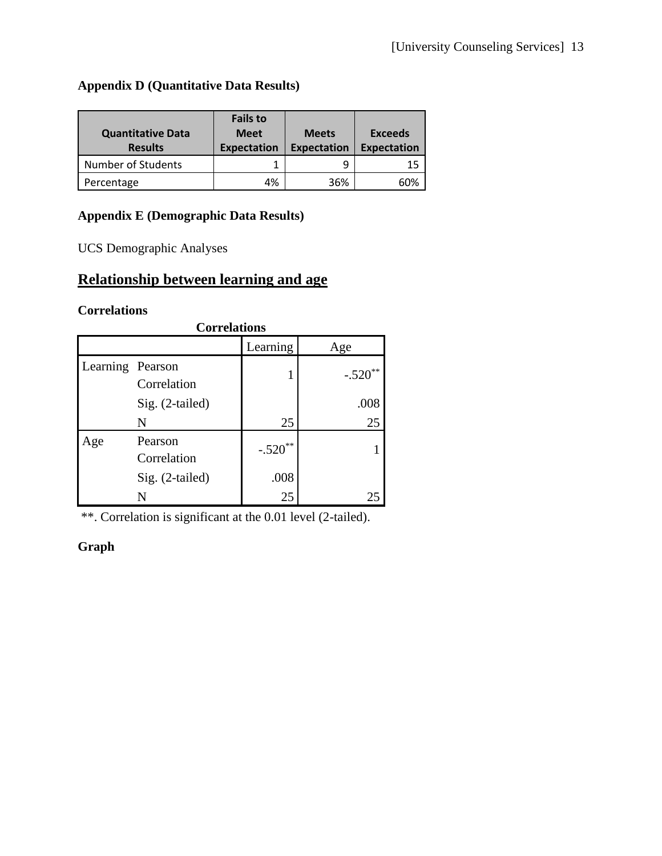# **Appendix D (Quantitative Data Results)**

| <b>Quantitative Data</b><br><b>Results</b> | <b>Fails to</b><br><b>Meet</b><br><b>Expectation</b> | <b>Meets</b><br><b>Expectation</b> | Exceeds<br><b>Expectation</b> |
|--------------------------------------------|------------------------------------------------------|------------------------------------|-------------------------------|
| <b>Number of Students</b>                  |                                                      |                                    | 15                            |
| Percentage                                 | 4%                                                   | 36%                                | 60%                           |

# **Appendix E (Demographic Data Results)**

UCS Demographic Analyses

# **Relationship between learning and age**

## **Correlations**

| <b>Correlations</b> |                        |           |           |  |  |
|---------------------|------------------------|-----------|-----------|--|--|
|                     |                        | Learning  | Age       |  |  |
| Learning Pearson    | Correlation            |           | $-.520**$ |  |  |
|                     | Sig. (2-tailed)        |           | .008      |  |  |
|                     | N                      | 25        | 25        |  |  |
| Age                 | Pearson<br>Correlation | $-.520**$ |           |  |  |
|                     | Sig. (2-tailed)        | .008      |           |  |  |
|                     |                        | 25        |           |  |  |

\*\*. Correlation is significant at the 0.01 level (2-tailed).

# **Graph**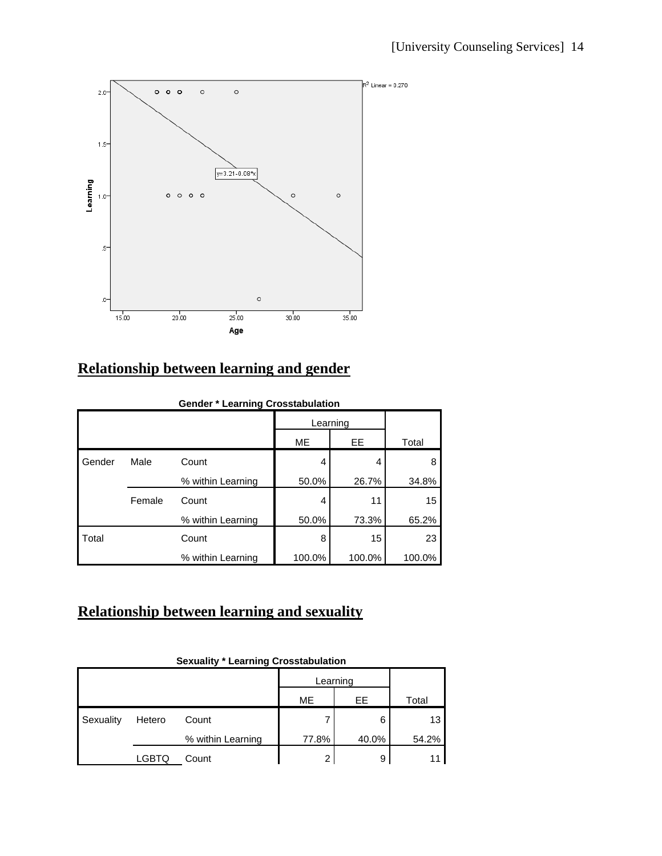

# **Relationship between learning and gender**

|        | <b>Gender * Learning Crosstabulation</b> |                   |        |           |        |  |  |
|--------|------------------------------------------|-------------------|--------|-----------|--------|--|--|
|        |                                          |                   |        | Learning  |        |  |  |
|        |                                          |                   | ME     | <b>EE</b> | Total  |  |  |
| Gender | Male                                     | Count             | 4      | 4         | 8      |  |  |
|        |                                          | % within Learning | 50.0%  | 26.7%     | 34.8%  |  |  |
|        | Female                                   | Count             | 4      | 11        | 15     |  |  |
|        |                                          | % within Learning | 50.0%  | 73.3%     | 65.2%  |  |  |
| Total  |                                          | Count             | 8      | 15        | 23     |  |  |
|        |                                          | % within Learning | 100.0% | 100.0%    | 100.0% |  |  |

# **Relationship between learning and sexuality**

|           |        | OGAUGIILY         | Learning Orosstabulation |       |       |
|-----------|--------|-------------------|--------------------------|-------|-------|
|           |        |                   | Learning                 |       |       |
|           |        |                   | ME                       | EE    | Total |
| Sexuality | Hetero | Count             |                          | 6     | 13    |
|           |        | % within Learning | 77.8%                    | 40.0% | 54.2% |
|           | LGBTQ  | Count             | ∩                        | 9     |       |

#### **Sexuality \* Learning Crosstabulation**